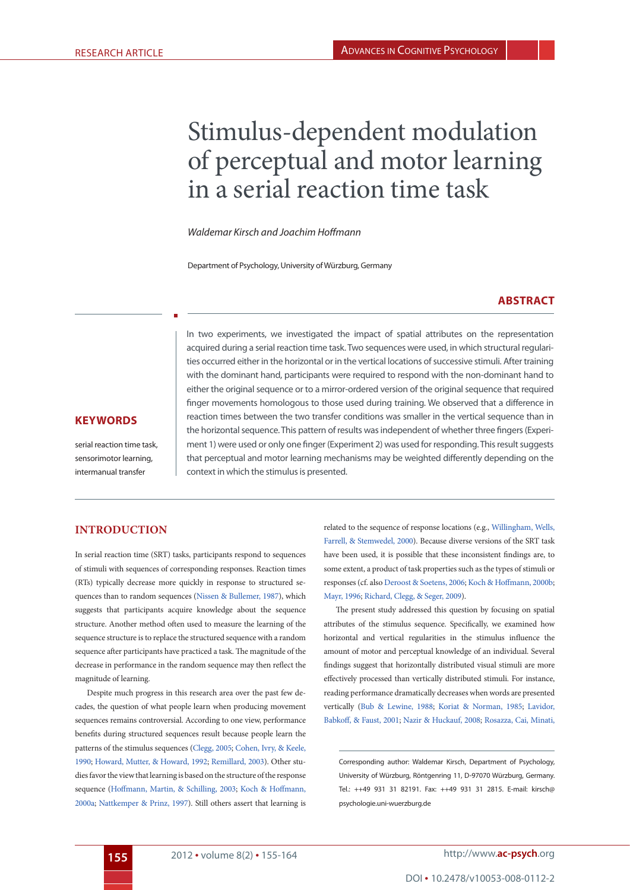# Stimulus-dependent modulation of perceptual and motor learning in a serial reaction time task

*Waldemar Kirsch and Joachim Hoffmann*

Department of Psychology, University of Würzburg, Germany

# <span id="page-0-17"></span>**Abstract**

In two experiments, we investigated the impact of spatial attributes on the representation acquired during a serial reaction time task. Two sequences were used, in which structural regularities occurred either in the horizontal or in the vertical locations of successive stimuli. After training with the dominant hand, participants were required to respond with the non-dominant hand to either the original sequence or to a mirror-ordered version of the original sequence that required finger movements homologous to those used during training. We observed that a difference in reaction times between the two transfer conditions was smaller in the vertical sequence than in the horizontal sequence. This pattern of results was independent of whether three fingers (Experiment 1) were used or only one finger (Experiment 2) was used for responding. This result suggests that perceptual and motor learning mechanisms may be weighted differently depending on the context in which the stimulus is presented.

### **KeywordS**

serial reaction time task, sensorimotor learning, intermanual transfer

## **introduction**

In serial reaction time (SRT) tasks, participants respond to sequences of stimuli with sequences of corresponding responses. Reaction times (RTs) typically decrease more quickly in response to structured sequences than to random sequences ([Nissen & Bullemer, 1987](#page-8-0)), which suggests that participants acquire knowledge about the sequence structure. Another method often used to measure the learning of the sequence structure is to replace the structured sequence with a random sequence after participants have practiced a task. The magnitude of the decrease in performance in the random sequence may then reflect the magnitude of learning.

<span id="page-0-11"></span><span id="page-0-5"></span><span id="page-0-4"></span>Despite much progress in this research area over the past few decades, the question of what people learn when producing movement sequences remains controversial. According to one view, performance benefits during structured sequences result because people learn the patterns of the stimulus sequences [\(Clegg, 2005;](#page-8-1) [Cohen, Ivry, & Keele,](#page-8-2) [1990;](#page-8-2) [Howard, Mutter, & Howard, 1992;](#page-8-3) [Remillard, 2003\)](#page-9-0). Other studies favor the view that learning is based on the structure of the response sequence ([Hoffmann, Martin, & Schilling, 2003;](#page-8-4) [Koch & Hoffmann,](#page-8-5) [2000a](#page-8-5); [Nattkemper & Prinz, 1997\)](#page-8-6). Still others assert that learning is

related to the sequence of response locations (e.g., [Willingham, Wells,](#page-9-1) [Farrell, & Stemwedel, 2000](#page-9-1)). Because diverse versions of the SRT task have been used, it is possible that these inconsistent findings are, to some extent, a product of task properties such as the types of stimuli or responses (cf. also [Deroost & Soetens, 2006](#page-8-7); [Koch & Hoffmann, 2000b;](#page-8-8) [Mayr, 1996;](#page-8-9) [Richard, Clegg, & Seger, 2009](#page-9-2)).

<span id="page-0-15"></span><span id="page-0-13"></span><span id="page-0-10"></span><span id="page-0-7"></span><span id="page-0-3"></span>The present study addressed this question by focusing on spatial attributes of the stimulus sequence. Specifically, we examined how horizontal and vertical regularities in the stimulus influence the amount of motor and perceptual knowledge of an individual. Several findings suggest that horizontally distributed visual stimuli are more effectively processed than vertically distributed stimuli. For instance, reading performance dramatically decreases when words are presented vertically ([Bub & Lewine, 1988](#page-8-10); [Koriat & Norman, 1985;](#page-8-11) [Lavidor,](#page-8-12) [Babkoff, & Faust, 2001](#page-8-12); [Nazir & Huckauf, 2008](#page-8-13); [Rosazza, Cai, Minati,](#page-9-3)

<span id="page-0-16"></span><span id="page-0-14"></span><span id="page-0-12"></span><span id="page-0-9"></span><span id="page-0-8"></span><span id="page-0-6"></span><span id="page-0-2"></span><span id="page-0-1"></span><span id="page-0-0"></span>Corresponding author: Waldemar Kirsch, Department of Psychology, University of Würzburg, Röntgenring 11, D-97070 Würzburg, Germany. Tel.: ++49 931 31 82191. Fax: ++49 931 31 2815. E-mail: kirsch@ psychologie.uni-wuerzburg.de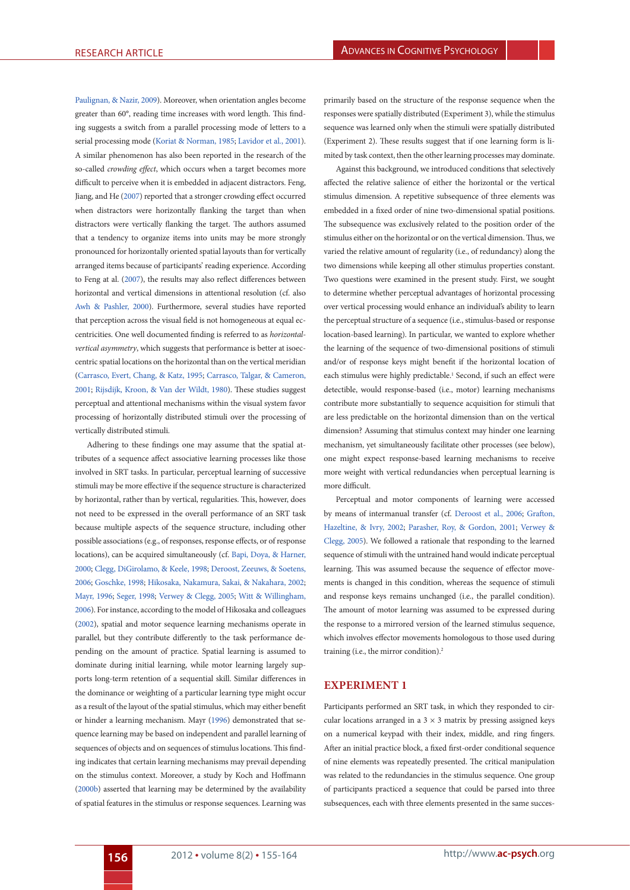[Paulignan, & Nazir, 2009](#page-9-3)). Moreover, when orientation angles become greater than 60°, reading time increases with word length. This finding suggests a switch from a parallel processing mode of letters to a serial processing mode [\(Koriat & Norman, 1985](#page-8-11); [Lavidor et al., 2001\)](#page-8-12). A similar phenomenon has also been reported in the research of the so-called *crowding effect*, which occurs when a target becomes more difficult to perceive when it is embedded in adjacent distractors. [Feng,](#page-8-14) [Jiang, and He \(2007\)](#page-8-14) reported that a stronger crowding effect occurred when distractors were horizontally flanking the target than when distractors were vertically flanking the target. The authors assumed that a tendency to organize items into units may be more strongly pronounced for horizontally oriented spatial layouts than for vertically arranged items because of participants' reading experience. According to Feng at al. ([2007\)](#page-8-14), the results may also reflect differences between horizontal and vertical dimensions in attentional resolution (cf. also [Awh & Pashler, 2000\)](#page-8-15). Furthermore, several studies have reported that perception across the visual field is not homogeneous at equal eccentricities. One well documented finding is referred to as *horizontalvertical asymmetry*, which suggests that performance is better at isoeccentric spatial locations on the horizontal than on the vertical meridian ([Carrasco, Evert, Chang, & Katz, 1995](#page-8-16); [Carrasco, Talgar, & Cameron,](#page-8-17) [2001;](#page-8-17) [Rijsdijk, Kroon, & Van der Wildt, 1980\)](#page-9-4). These studies suggest perceptual and attentional mechanisms within the visual system favor processing of horizontally distributed stimuli over the processing of vertically distributed stimuli.

<span id="page-1-12"></span><span id="page-1-11"></span><span id="page-1-7"></span><span id="page-1-4"></span><span id="page-1-2"></span><span id="page-1-0"></span>Adhering to these findings one may assume that the spatial attributes of a sequence affect associative learning processes like those involved in SRT tasks. In particular, perceptual learning of successive stimuli may be more effective if the sequence structure is characterized by horizontal, rather than by vertical, regularities. This, however, does not need to be expressed in the overall performance of an SRT task because multiple aspects of the sequence structure, including other possible associations (e.g., of responses, response effects, or of response locations), can be acquired simultaneously (cf. [Bapi, Doya, & Harner,](#page-8-18) [2000;](#page-8-18) [Clegg, DiGirolamo, & Keele, 1998;](#page-8-19) [Deroost, Zeeuws, & Soetens,](#page-8-20) [2006;](#page-8-20) [Goschke, 1998;](#page-8-21) [Hikosaka, Nakamura, Sakai, & Nakahara, 2002](#page-8-22); [Mayr, 1996](#page-8-9); [Seger, 1998](#page-9-5); [Verwey & Clegg, 2005](#page-9-6); [Witt & Willingham,](#page-9-7) [2006\)](#page-9-7). For instance, according to the model of [Hikosaka and colleagues](#page-8-22) [\(2002\)](#page-8-22), spatial and motor sequence learning mechanisms operate in parallel, but they contribute differently to the task performance depending on the amount of practice. Spatial learning is assumed to dominate during initial learning, while motor learning largely supports long-term retention of a sequential skill. Similar differences in the dominance or weighting of a particular learning type might occur as a result of the layout of the spatial stimulus, which may either benefit or hinder a learning mechanism. [Mayr \(1996\)](#page-8-9) demonstrated that sequence learning may be based on independent and parallel learning of sequences of objects and on sequences of stimulus locations. This finding indicates that certain learning mechanisms may prevail depending on the stimulus context. Moreover, a study by [Koch and Hoffmann](#page-8-8) [\(2000b\)](#page-8-8) asserted that learning may be determined by the availability of spatial features in the stimulus or response sequences. Learning was

primarily based on the structure of the response sequence when the responses were spatially distributed (Experiment 3), while the stimulus sequence was learned only when the stimuli were spatially distributed (Experiment 2). These results suggest that if one learning form is limited by task context, then the other learning processes may dominate.

<span id="page-1-6"></span>Against this background, we introduced conditions that selectively affected the relative salience of either the horizontal or the vertical stimulus dimension. A repetitive subsequence of three elements was embedded in a fixed order of nine two-dimensional spatial positions. The subsequence was exclusively related to the position order of the stimulus either on the horizontal or on the vertical dimension. Thus, we varied the relative amount of regularity (i.e., of redundancy) along the two dimensions while keeping all other stimulus properties constant. Two questions were examined in the present study. First, we sought to determine whether perceptual advantages of horizontal processing over vertical processing would enhance an individual's ability to learn the perceptual structure of a sequence (i.e., stimulus-based or response location-based learning). In particular, we wanted to explore whether the learning of the sequence of two-dimensional positions of stimuli and/or of response keys might benefit if the horizontal location of each stimulus were highly predictable.<sup>1</sup> Second, if such an effect were detectible, would response-based (i.e., motor) learning mechanisms contribute more substantially to sequence acquisition for stimuli that are less predictable on the horizontal dimension than on the vertical dimension? Assuming that stimulus context may hinder one learning mechanism, yet simultaneously facilitate other processes (see below), one might expect response-based learning mechanisms to receive more weight with vertical redundancies when perceptual learning is more difficult.

<span id="page-1-10"></span><span id="page-1-9"></span><span id="page-1-8"></span><span id="page-1-5"></span><span id="page-1-3"></span><span id="page-1-1"></span>Perceptual and motor components of learning were accessed by means of intermanual transfer (cf. [Deroost et al., 2006](#page-8-20); [Grafton,](#page-8-23) [Hazeltine, & Ivry, 2002](#page-8-23); [Parasher, Roy, & Gordon, 2001](#page-9-8); [Verwey &](#page-9-6) [Clegg, 2005](#page-9-6)). We followed a rationale that responding to the learned sequence of stimuli with the untrained hand would indicate perceptual learning. This was assumed because the sequence of effector movements is changed in this condition, whereas the sequence of stimuli and response keys remains unchanged (i.e., the parallel condition). The amount of motor learning was assumed to be expressed during the response to a mirrored version of the learned stimulus sequence, which involves effector movements homologous to those used during training (i.e., the mirror condition).2

## <span id="page-1-14"></span><span id="page-1-13"></span>**Experiment 1**

Participants performed an SRT task, in which they responded to circular locations arranged in a  $3 \times 3$  matrix by pressing assigned keys on a numerical keypad with their index, middle, and ring fingers. After an initial practice block, a fixed first-order conditional sequence of nine elements was repeatedly presented. The critical manipulation was related to the redundancies in the stimulus sequence. One group of participants practiced a sequence that could be parsed into three subsequences, each with three elements presented in the same succes-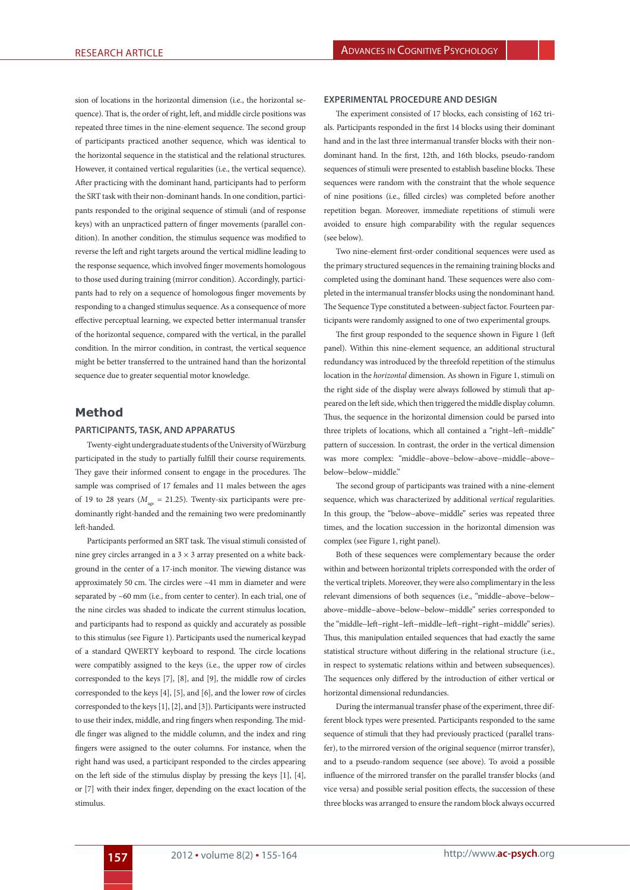sion of locations in the horizontal dimension (i.e., the horizontal sequence). That is, the order of right, left, and middle circle positions was repeated three times in the nine-element sequence. The second group of participants practiced another sequence, which was identical to the horizontal sequence in the statistical and the relational structures. However, it contained vertical regularities (i.e., the vertical sequence). After practicing with the dominant hand, participants had to perform the SRT task with their non-dominant hands. In one condition, participants responded to the original sequence of stimuli (and of response keys) with an unpracticed pattern of finger movements (parallel condition). In another condition, the stimulus sequence was modified to reverse the left and right targets around the vertical midline leading to the response sequence, which involved finger movements homologous to those used during training (mirror condition). Accordingly, participants had to rely on a sequence of homologous finger movements by responding to a changed stimulus sequence. As a consequence of more effective perceptual learning, we expected better intermanual transfer of the horizontal sequence, compared with the vertical, in the parallel condition. In the mirror condition, in contrast, the vertical sequence might be better transferred to the untrained hand than the horizontal sequence due to greater sequential motor knowledge.

# **Method**

## **Participants, task, and apparatus**

Twenty-eight undergraduate students of the University of Würzburg participated in the study to partially fulfill their course requirements. They gave their informed consent to engage in the procedures. The sample was comprised of 17 females and 11 males between the ages of 19 to 28 years ( $M_{\text{gas}}$  = 21.25). Twenty-six participants were predominantly right-handed and the remaining two were predominantly left-handed.

Participants performed an SRT task. The visual stimuli consisted of nine grey circles arranged in a  $3 \times 3$  array presented on a white background in the center of a 17-inch monitor. The viewing distance was approximately 50 cm. The circles were ~41 mm in diameter and were separated by ~60 mm (i.e., from center to center). In each trial, one of the nine circles was shaded to indicate the current stimulus location, and participants had to respond as quickly and accurately as possible to this stimulus (see Figure 1). Participants used the numerical keypad of a standard QWERTY keyboard to respond. The circle locations were compatibly assigned to the keys (i.e., the upper row of circles corresponded to the keys [7], [8], and [9], the middle row of circles corresponded to the keys [4], [5], and [6], and the lower row of circles corresponded to the keys [1], [2], and [3]). Participants were instructed to use their index, middle, and ring fingers when responding. The middle finger was aligned to the middle column, and the index and ring fingers were assigned to the outer columns. For instance, when the right hand was used, a participant responded to the circles appearing on the left side of the stimulus display by pressing the keys [1], [4], or [7] with their index finger, depending on the exact location of the stimulus.

### **Experimental procedure and design**

The experiment consisted of 17 blocks, each consisting of 162 trials. Participants responded in the first 14 blocks using their dominant hand and in the last three intermanual transfer blocks with their nondominant hand. In the first, 12th, and 16th blocks, pseudo-random sequences of stimuli were presented to establish baseline blocks. These sequences were random with the constraint that the whole sequence of nine positions (i.e., filled circles) was completed before another repetition began. Moreover, immediate repetitions of stimuli were avoided to ensure high comparability with the regular sequences (see below).

Two nine-element first-order conditional sequences were used as the primary structured sequences in the remaining training blocks and completed using the dominant hand. These sequences were also completed in the intermanual transfer blocks using the nondominant hand. The Sequence Type constituted a between-subject factor. Fourteen participants were randomly assigned to one of two experimental groups.

The first group responded to the sequence shown in Figure 1 (left panel). Within this nine-element sequence, an additional structural redundancy was introduced by the threefold repetition of the stimulus location in the *horizontal* dimension. As shown in Figure 1, stimuli on the right side of the display were always followed by stimuli that appeared on the left side, which then triggered the middle display column. Thus, the sequence in the horizontal dimension could be parsed into three triplets of locations, which all contained a "right−left−middle" pattern of succession. In contrast, the order in the vertical dimension was more complex: "middle−above−below−above−middle−above− below−below−middle."

The second group of participants was trained with a nine-element sequence, which was characterized by additional *vertical* regularities. In this group, the "below−above−middle" series was repeated three times, and the location succession in the horizontal dimension was complex (see Figure 1, right panel).

Both of these sequences were complementary because the order within and between horizontal triplets corresponded with the order of the vertical triplets. Moreover, they were also complimentary in the less relevant dimensions of both sequences (i.e., "middle−above−below− above−middle−above−below−below−middle" series corresponded to the "middle−left−right−left−middle−left−right−right−middle" series). Thus, this manipulation entailed sequences that had exactly the same statistical structure without differing in the relational structure (i.e., in respect to systematic relations within and between subsequences). The sequences only differed by the introduction of either vertical or horizontal dimensional redundancies.

During the intermanual transfer phase of the experiment, three different block types were presented. Participants responded to the same sequence of stimuli that they had previously practiced (parallel transfer), to the mirrored version of the original sequence (mirror transfer), and to a pseudo-random sequence (see above). To avoid a possible influence of the mirrored transfer on the parallel transfer blocks (and vice versa) and possible serial position effects, the succession of these three blocks was arranged to ensure the random block always occurred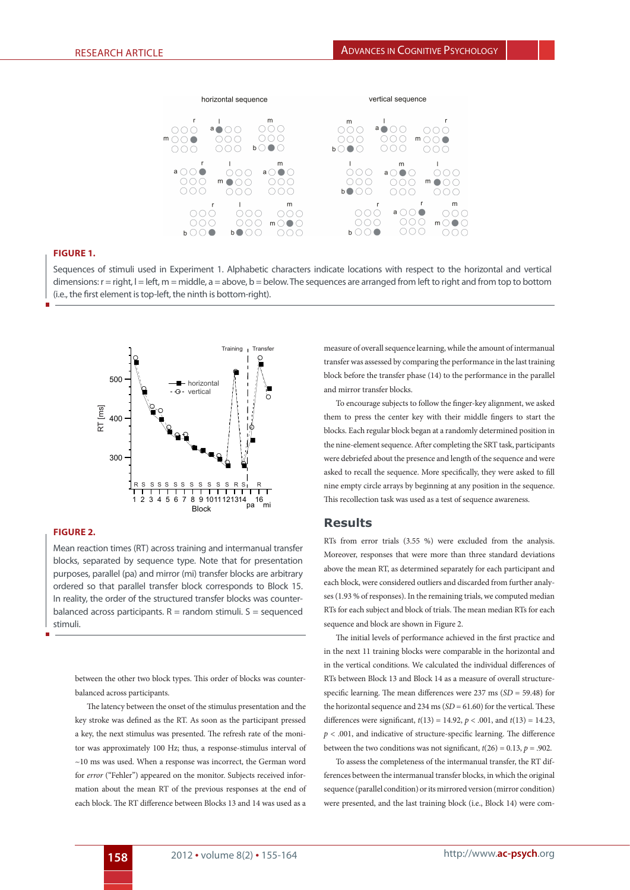

# **Figure 1.**

Sequences of stimuli used in Experiment 1. Alphabetic characters indicate locations with respect to the horizontal and vertical dimensions:  $r = right$ ,  $l = left$ ,  $m = middle$ ,  $a = above$ ,  $b = below$ . The sequences are arranged from left to right and from top to bottom (i.e., the first element is top-left, the ninth is bottom-right).



# **Figure 2.**

Mean reaction times (RT) across training and intermanual transfer blocks, separated by sequence type. Note that for presentation purposes, parallel (pa) and mirror (mi) transfer blocks are arbitrary ordered so that parallel transfer block corresponds to Block 15. In reality, the order of the structured transfer blocks was counterbalanced across participants.  $R =$  random stimuli.  $S =$  sequenced stimuli.

between the other two block types. This order of blocks was counterbalanced across participants.

The latency between the onset of the stimulus presentation and the key stroke was defined as the RT. As soon as the participant pressed a key, the next stimulus was presented. The refresh rate of the monitor was approximately 100 Hz; thus, a response-stimulus interval of ~10 ms was used. When a response was incorrect, the German word for *error* ("Fehler") appeared on the monitor. Subjects received information about the mean RT of the previous responses at the end of each block. The RT difference between Blocks 13 and 14 was used as a

measure of overall sequence learning, while the amount of intermanual transfer was assessed by comparing the performance in the last training block before the transfer phase (14) to the performance in the parallel and mirror transfer blocks.

To encourage subjects to follow the finger-key alignment, we asked them to press the center key with their middle fingers to start the blocks. Each regular block began at a randomly determined position in the nine-element sequence. After completing the SRT task, participants were debriefed about the presence and length of the sequence and were asked to recall the sequence. More specifically, they were asked to fill nine empty circle arrays by beginning at any position in the sequence. This recollection task was used as a test of sequence awareness.

## **Results**

RTs from error trials (3.55 %) were excluded from the analysis. Moreover, responses that were more than three standard deviations above the mean RT, as determined separately for each participant and each block, were considered outliers and discarded from further analyses (1.93 % of responses). In the remaining trials, we computed median RTs for each subject and block of trials. The mean median RTs for each sequence and block are shown in Figure 2.

The initial levels of performance achieved in the first practice and in the next 11 training blocks were comparable in the horizontal and in the vertical conditions. We calculated the individual differences of RTs between Block 13 and Block 14 as a measure of overall structurespecific learning. The mean differences were 237 ms (*SD* = 59.48) for the horizontal sequence and 234 ms (*SD* = 61.60) for the vertical. These differences were significant, *t*(13) = 14.92, *p* < .001, and *t*(13) = 14.23,  $p < .001$ , and indicative of structure-specific learning. The difference between the two conditions was not significant,  $t(26) = 0.13$ ,  $p = .902$ .

To assess the completeness of the intermanual transfer, the RT differences between the intermanual transfer blocks, in which the original sequence (parallel condition) or its mirrored version (mirror condition) were presented, and the last training block (i.e., Block 14) were com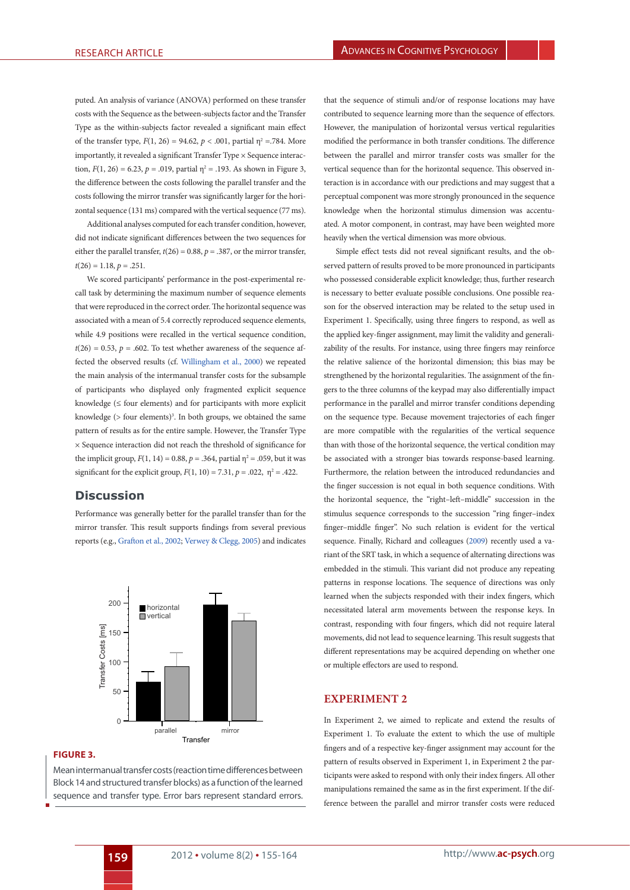puted. An analysis of variance (ANOVA) performed on these transfer costs with the Sequence as the between-subjects factor and the Transfer Type as the within-subjects factor revealed a significant main effect of the transfer type,  $F(1, 26) = 94.62$ ,  $p < .001$ , partial  $\eta^2 = .784$ . More importantly, it revealed a significant Transfer Type × Sequence interaction,  $F(1, 26) = 6.23$ ,  $p = .019$ , partial  $\eta^2 = .193$ . As shown in Figure 3, the difference between the costs following the parallel transfer and the costs following the mirror transfer was significantly larger for the horizontal sequence (131 ms) compared with the vertical sequence (77 ms).

Additional analyses computed for each transfer condition, however, did not indicate significant differences between the two sequences for either the parallel transfer,  $t(26) = 0.88$ ,  $p = .387$ , or the mirror transfer,  $t(26) = 1.18, p = .251.$ 

We scored participants' performance in the post-experimental recall task by determining the maximum number of sequence elements that were reproduced in the correct order. The horizontal sequence was associated with a mean of 5.4 correctly reproduced sequence elements, while 4.9 positions were recalled in the vertical sequence condition,  $t(26) = 0.53$ ,  $p = .602$ . To test whether awareness of the sequence affected the observed results (cf. [Willingham et al., 2000\)](#page-9-1) we repeated the main analysis of the intermanual transfer costs for the subsample of participants who displayed only fragmented explicit sequence knowledge ( $\leq$  four elements) and for participants with more explicit knowledge  $($  > four elements $)$ <sup>3</sup>. In both groups, we obtained the same pattern of results as for the entire sample. However, the Transfer Type × Sequence interaction did not reach the threshold of significance for the implicit group,  $F(1, 14) = 0.88$ ,  $p = .364$ , partial  $\eta^2 = .059$ , but it was significant for the explicit group,  $F(1, 10) = 7.31$ ,  $p = .022$ ,  $\eta^2 = .422$ .

# **Discussion**

Performance was generally better for the parallel transfer than for the mirror transfer. This result supports findings from several previous reports (e.g., [Grafton et al., 2002;](#page-8-23) [Verwey & Clegg, 2005](#page-9-6)) and indicates



## **Figure 3.**

Mean intermanual transfer costs (reaction time differences between Block 14 and structured transfer blocks) as a function of the learned sequence and transfer type. Error bars represent standard errors.

that the sequence of stimuli and/or of response locations may have contributed to sequence learning more than the sequence of effectors. However, the manipulation of horizontal versus vertical regularities modified the performance in both transfer conditions. The difference between the parallel and mirror transfer costs was smaller for the vertical sequence than for the horizontal sequence. This observed interaction is in accordance with our predictions and may suggest that a perceptual component was more strongly pronounced in the sequence knowledge when the horizontal stimulus dimension was accentuated. A motor component, in contrast, may have been weighted more heavily when the vertical dimension was more obvious.

Simple effect tests did not reveal significant results, and the observed pattern of results proved to be more pronounced in participants who possessed considerable explicit knowledge; thus, further research is necessary to better evaluate possible conclusions. One possible reason for the observed interaction may be related to the setup used in Experiment 1. Specifically, using three fingers to respond, as well as the applied key-finger assignment, may limit the validity and generalizability of the results. For instance, using three fingers may reinforce the relative salience of the horizontal dimension; this bias may be strengthened by the horizontal regularities. The assignment of the fingers to the three columns of the keypad may also differentially impact performance in the parallel and mirror transfer conditions depending on the sequence type. Because movement trajectories of each finger are more compatible with the regularities of the vertical sequence than with those of the horizontal sequence, the vertical condition may be associated with a stronger bias towards response-based learning. Furthermore, the relation between the introduced redundancies and the finger succession is not equal in both sequence conditions. With the horizontal sequence, the "right–left–middle" succession in the stimulus sequence corresponds to the succession "ring finger–index finger–middle finger". No such relation is evident for the vertical sequence. Finally, [Richard and colleagues \(2009](#page-9-2)) recently used a variant of the SRT task, in which a sequence of alternating directions was embedded in the stimuli. This variant did not produce any repeating patterns in response locations. The sequence of directions was only learned when the subjects responded with their index fingers, which necessitated lateral arm movements between the response keys. In contrast, responding with four fingers, which did not require lateral movements, did not lead to sequence learning. This result suggests that different representations may be acquired depending on whether one or multiple effectors are used to respond.

## **Experiment 2**

In Experiment 2, we aimed to replicate and extend the results of Experiment 1. To evaluate the extent to which the use of multiple fingers and of a respective key-finger assignment may account for the pattern of results observed in Experiment 1, in Experiment 2 the participants were asked to respond with only their index fingers. All other manipulations remained the same as in the first experiment. If the difference between the parallel and mirror transfer costs were reduced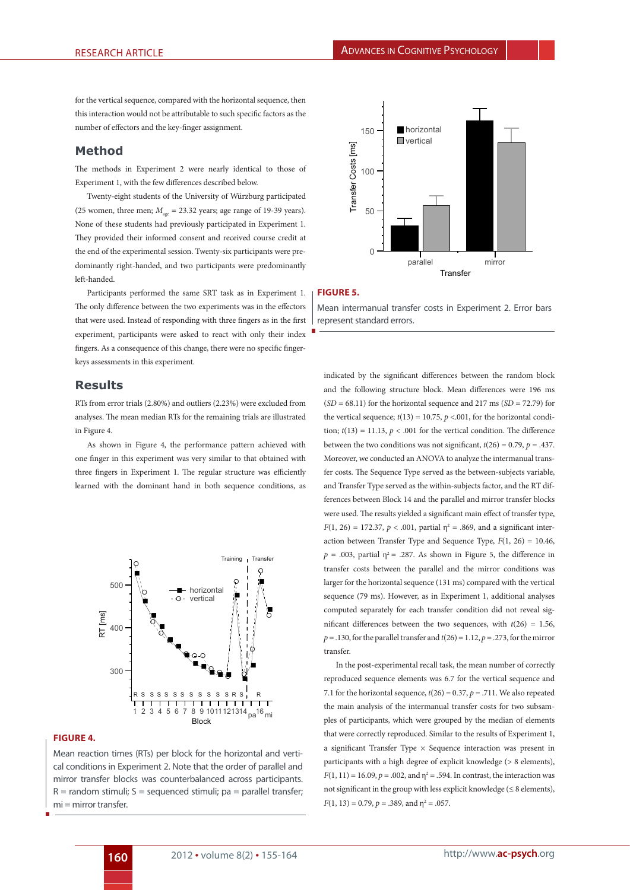for the vertical sequence, compared with the horizontal sequence, then this interaction would not be attributable to such specific factors as the number of effectors and the key-finger assignment.

## **Method**

The methods in Experiment 2 were nearly identical to those of Experiment 1, with the few differences described below.

Twenty-eight students of the University of Würzburg participated (25 women, three men;  $M_{\text{gas}}$  = 23.32 years; age range of 19-39 years). None of these students had previously participated in Experiment 1. They provided their informed consent and received course credit at the end of the experimental session. Twenty-six participants were predominantly right-handed, and two participants were predominantly left-handed.

Participants performed the same SRT task as in Experiment 1. The only difference between the two experiments was in the effectors that were used. Instead of responding with three fingers as in the first experiment, participants were asked to react with only their index fingers. As a consequence of this change, there were no specific fingerkeys assessments in this experiment.

## **Results**

RTs from error trials (2.80%) and outliers (2.23%) were excluded from analyses. The mean median RTs for the remaining trials are illustrated in Figure 4.

As shown in Figure 4, the performance pattern achieved with one finger in this experiment was very similar to that obtained with three fingers in Experiment 1. The regular structure was efficiently learned with the dominant hand in both sequence conditions, as



### **Figure 4.**

Mean reaction times (RTs) per block for the horizontal and vertical conditions in Experiment 2. Note that the order of parallel and mirror transfer blocks was counterbalanced across participants.  $R =$  random stimuli;  $S =$  sequenced stimuli;  $pa =$  parallel transfer; mi = mirror transfer.



#### **Figure 5.**

Mean intermanual transfer costs in Experiment 2. Error bars represent standard errors.

indicated by the significant differences between the random block and the following structure block. Mean differences were 196 ms  $(SD = 68.11)$  for the horizontal sequence and 217 ms  $(SD = 72.79)$  for the vertical sequence;  $t(13) = 10.75$ ,  $p < .001$ , for the horizontal condition;  $t(13) = 11.13$ ,  $p < .001$  for the vertical condition. The difference between the two conditions was not significant,  $t(26) = 0.79$ ,  $p = .437$ . Moreover, we conducted an ANOVA to analyze the intermanual transfer costs. The Sequence Type served as the between-subjects variable, and Transfer Type served as the within-subjects factor, and the RT differences between Block 14 and the parallel and mirror transfer blocks were used. The results yielded a significant main effect of transfer type, *F*(1, 26) = 172.37, *p* < .001, partial  $\eta^2$  = .869, and a significant interaction between Transfer Type and Sequence Type,  $F(1, 26) = 10.46$ ,  $p = .003$ , partial  $\eta^2 = .287$ . As shown in Figure 5, the difference in transfer costs between the parallel and the mirror conditions was larger for the horizontal sequence (131 ms) compared with the vertical sequence (79 ms). However, as in Experiment 1, additional analyses computed separately for each transfer condition did not reveal significant differences between the two sequences, with *t*(26) = 1.56,  $p = .130$ , for the parallel transfer and  $t(26) = 1.12$ ,  $p = .273$ , for the mirror transfer.

In the post-experimental recall task, the mean number of correctly reproduced sequence elements was 6.7 for the vertical sequence and 7.1 for the horizontal sequence,  $t(26) = 0.37$ ,  $p = .711$ . We also repeated the main analysis of the intermanual transfer costs for two subsamples of participants, which were grouped by the median of elements that were correctly reproduced. Similar to the results of Experiment 1, a significant Transfer Type  $\times$  Sequence interaction was present in participants with a high degree of explicit knowledge (> 8 elements),  $F(1, 11) = 16.09, p = .002,$  and  $\eta^2 = .594$ . In contrast, the interaction was not significant in the group with less explicit knowledge ( $\leq 8$  elements),  $F(1, 13) = 0.79, p = .389, \text{ and } \eta^2 = .057.$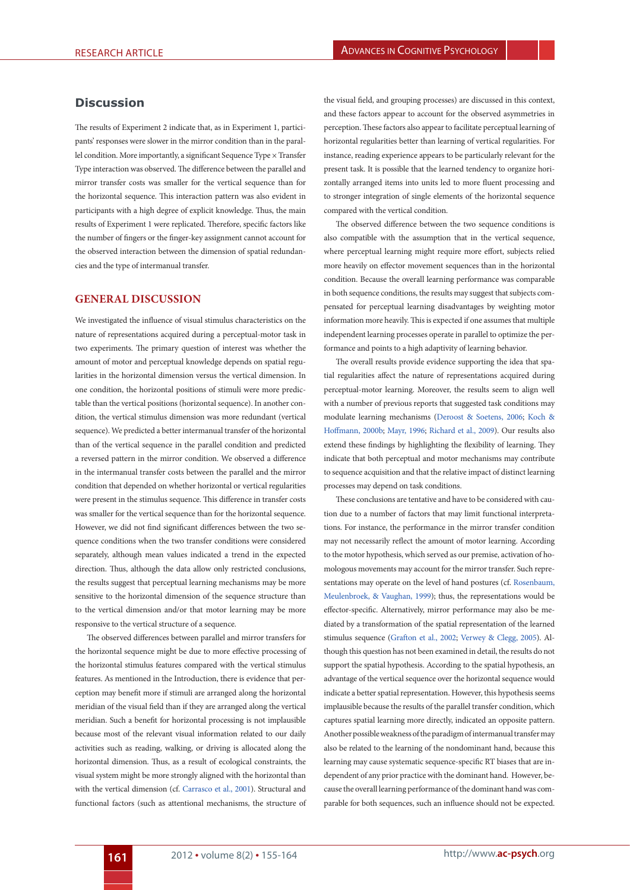# **Discussion**

The results of Experiment 2 indicate that, as in Experiment 1, participants' responses were slower in the mirror condition than in the parallel condition. More importantly, a significant Sequence Type × Transfer Type interaction was observed. The difference between the parallel and mirror transfer costs was smaller for the vertical sequence than for the horizontal sequence. This interaction pattern was also evident in participants with a high degree of explicit knowledge. Thus, the main results of Experiment 1 were replicated. Therefore, specific factors like the number of fingers or the finger-key assignment cannot account for the observed interaction between the dimension of spatial redundancies and the type of intermanual transfer.

# **General discussion**

We investigated the influence of visual stimulus characteristics on the nature of representations acquired during a perceptual-motor task in two experiments. The primary question of interest was whether the amount of motor and perceptual knowledge depends on spatial regularities in the horizontal dimension versus the vertical dimension. In one condition, the horizontal positions of stimuli were more predictable than the vertical positions (horizontal sequence). In another condition, the vertical stimulus dimension was more redundant (vertical sequence). We predicted a better intermanual transfer of the horizontal than of the vertical sequence in the parallel condition and predicted a reversed pattern in the mirror condition. We observed a difference in the intermanual transfer costs between the parallel and the mirror condition that depended on whether horizontal or vertical regularities were present in the stimulus sequence. This difference in transfer costs was smaller for the vertical sequence than for the horizontal sequence. However, we did not find significant differences between the two sequence conditions when the two transfer conditions were considered separately, although mean values indicated a trend in the expected direction. Thus, although the data allow only restricted conclusions, the results suggest that perceptual learning mechanisms may be more sensitive to the horizontal dimension of the sequence structure than to the vertical dimension and/or that motor learning may be more responsive to the vertical structure of a sequence.

The observed differences between parallel and mirror transfers for the horizontal sequence might be due to more effective processing of the horizontal stimulus features compared with the vertical stimulus features. As mentioned in the Introduction, there is evidence that perception may benefit more if stimuli are arranged along the horizontal meridian of the visual field than if they are arranged along the vertical meridian. Such a benefit for horizontal processing is not implausible because most of the relevant visual information related to our daily activities such as reading, walking, or driving is allocated along the horizontal dimension. Thus, as a result of ecological constraints, the visual system might be more strongly aligned with the horizontal than with the vertical dimension (cf. [Carrasco et al., 2001](#page-8-17)). Structural and functional factors (such as attentional mechanisms, the structure of

the visual field, and grouping processes) are discussed in this context, and these factors appear to account for the observed asymmetries in perception. These factors also appear to facilitate perceptual learning of horizontal regularities better than learning of vertical regularities. For instance, reading experience appears to be particularly relevant for the present task. It is possible that the learned tendency to organize horizontally arranged items into units led to more fluent processing and to stronger integration of single elements of the horizontal sequence compared with the vertical condition.

The observed difference between the two sequence conditions is also compatible with the assumption that in the vertical sequence, where perceptual learning might require more effort, subjects relied more heavily on effector movement sequences than in the horizontal condition. Because the overall learning performance was comparable in both sequence conditions, the results may suggest that subjects compensated for perceptual learning disadvantages by weighting motor information more heavily. This is expected if one assumes that multiple independent learning processes operate in parallel to optimize the performance and points to a high adaptivity of learning behavior.

The overall results provide evidence supporting the idea that spatial regularities affect the nature of representations acquired during perceptual-motor learning. Moreover, the results seem to align well with a number of previous reports that suggested task conditions may modulate learning mechanisms ([Deroost & Soetens, 2006;](#page-8-7) [Koch &](#page-8-8) [Hoffmann, 2000b;](#page-8-8) [Mayr, 1996;](#page-8-9) [Richard et al., 2009](#page-9-2)). Our results also extend these findings by highlighting the flexibility of learning. They indicate that both perceptual and motor mechanisms may contribute to sequence acquisition and that the relative impact of distinct learning processes may depend on task conditions.

<span id="page-6-0"></span>These conclusions are tentative and have to be considered with caution due to a number of factors that may limit functional interpretations. For instance, the performance in the mirror transfer condition may not necessarily reflect the amount of motor learning. According to the motor hypothesis, which served as our premise, activation of homologous movements may account for the mirror transfer. Such representations may operate on the level of hand postures (cf. [Rosenbaum,](#page-9-9) [Meulenbroek, & Vaughan, 1999](#page-9-9)); thus, the representations would be effector-specific. Alternatively, mirror performance may also be mediated by a transformation of the spatial representation of the learned stimulus sequence [\(Grafton et al., 2002](#page-8-23); [Verwey & Clegg, 2005](#page-9-6)). Although this question has not been examined in detail, the results do not support the spatial hypothesis. According to the spatial hypothesis, an advantage of the vertical sequence over the horizontal sequence would indicate a better spatial representation. However, this hypothesis seems implausible because the results of the parallel transfer condition, which captures spatial learning more directly, indicated an opposite pattern. Another possible weakness of the paradigm of intermanual transfer may also be related to the learning of the nondominant hand, because this learning may cause systematic sequence-specific RT biases that are independent of any prior practice with the dominant hand. However, because the overall learning performance of the dominant hand was comparable for both sequences, such an influence should not be expected.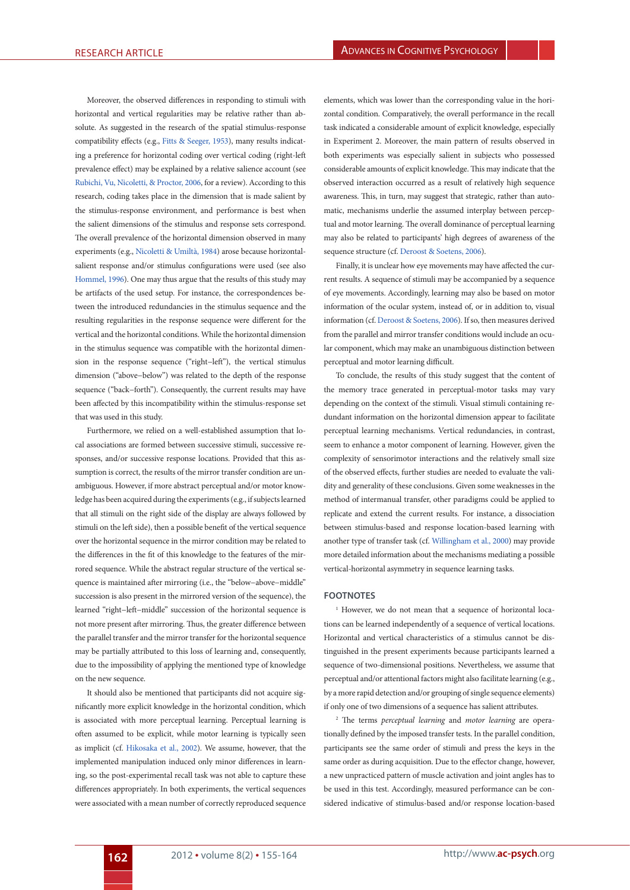<span id="page-7-3"></span>Moreover, the observed differences in responding to stimuli with horizontal and vertical regularities may be relative rather than absolute. As suggested in the research of the spatial stimulus-response compatibility effects (e.g., [Fitts & Seeger, 1953\)](#page-8-24), many results indicating a preference for horizontal coding over vertical coding (right-left prevalence effect) may be explained by a relative salience account (see [Rubichi, Vu, Nicoletti, & Proctor, 2006,](#page-9-10) for a review). According to this research, coding takes place in the dimension that is made salient by the stimulus-response environment, and performance is best when the salient dimensions of the stimulus and response sets correspond. The overall prevalence of the horizontal dimension observed in many experiments (e.g., [Nicoletti & Umiltà, 1984\)](#page-8-25) arose because horizontalsalient response and/or stimulus configurations were used (see also [Hommel, 1996](#page-8-26)). One may thus argue that the results of this study may be artifacts of the used setup. For instance, the correspondences between the introduced redundancies in the stimulus sequence and the resulting regularities in the response sequence were different for the vertical and the horizontal conditions. While the horizontal dimension in the stimulus sequence was compatible with the horizontal dimension in the response sequence ("right−left"), the vertical stimulus dimension ("above−below") was related to the depth of the response sequence ("back−forth"). Consequently, the current results may have been affected by this incompatibility within the stimulus-response set that was used in this study.

<span id="page-7-1"></span>Furthermore, we relied on a well-established assumption that local associations are formed between successive stimuli, successive responses, and/or successive response locations. Provided that this assumption is correct, the results of the mirror transfer condition are unambiguous. However, if more abstract perceptual and/or motor knowledge has been acquired during the experiments (e.g., if subjects learned that all stimuli on the right side of the display are always followed by stimuli on the left side), then a possible benefit of the vertical sequence over the horizontal sequence in the mirror condition may be related to the differences in the fit of this knowledge to the features of the mirrored sequence. While the abstract regular structure of the vertical sequence is maintained after mirroring (i.e., the "below−above−middle" succession is also present in the mirrored version of the sequence), the learned "right−left−middle" succession of the horizontal sequence is not more present after mirroring. Thus, the greater difference between the parallel transfer and the mirror transfer for the horizontal sequence may be partially attributed to this loss of learning and, consequently, due to the impossibility of applying the mentioned type of knowledge on the new sequence.

It should also be mentioned that participants did not acquire significantly more explicit knowledge in the horizontal condition, which is associated with more perceptual learning. Perceptual learning is often assumed to be explicit, while motor learning is typically seen as implicit (cf. [Hikosaka et al., 2002](#page-8-22)). We assume, however, that the implemented manipulation induced only minor differences in learning, so the post-experimental recall task was not able to capture these differences appropriately. In both experiments, the vertical sequences were associated with a mean number of correctly reproduced sequence

<span id="page-7-0"></span>elements, which was lower than the corresponding value in the horizontal condition. Comparatively, the overall performance in the recall task indicated a considerable amount of explicit knowledge, especially in Experiment 2. Moreover, the main pattern of results observed in both experiments was especially salient in subjects who possessed considerable amounts of explicit knowledge. This may indicate that the observed interaction occurred as a result of relatively high sequence awareness. This, in turn, may suggest that strategic, rather than automatic, mechanisms underlie the assumed interplay between perceptual and motor learning. The overall dominance of perceptual learning may also be related to participants' high degrees of awareness of the sequence structure (cf. [Deroost & Soetens, 2006\)](#page-8-7).

<span id="page-7-2"></span>Finally, it is unclear how eye movements may have affected the current results. A sequence of stimuli may be accompanied by a sequence of eye movements. Accordingly, learning may also be based on motor information of the ocular system, instead of, or in addition to, visual information (cf. [Deroost & Soetens, 2006\)](#page-8-7). If so, then measures derived from the parallel and mirror transfer conditions would include an ocular component, which may make an unambiguous distinction between perceptual and motor learning difficult.

To conclude, the results of this study suggest that the content of the memory trace generated in perceptual-motor tasks may vary depending on the context of the stimuli. Visual stimuli containing redundant information on the horizontal dimension appear to facilitate perceptual learning mechanisms. Vertical redundancies, in contrast, seem to enhance a motor component of learning. However, given the complexity of sensorimotor interactions and the relatively small size of the observed effects, further studies are needed to evaluate the validity and generality of these conclusions. Given some weaknesses in the method of intermanual transfer, other paradigms could be applied to replicate and extend the current results. For instance, a dissociation between stimulus-based and response location-based learning with another type of transfer task (cf. [Willingham et al., 2000\)](#page-9-1) may provide more detailed information about the mechanisms mediating a possible vertical-horizontal asymmetry in sequence learning tasks.

#### **Footnotes**

<sup>1</sup> However, we do not mean that a sequence of horizontal locations can be learned independently of a sequence of vertical locations. Horizontal and vertical characteristics of a stimulus cannot be distinguished in the present experiments because participants learned a sequence of two-dimensional positions. Nevertheless, we assume that perceptual and/or attentional factors might also facilitate learning (e.g., by a more rapid detection and/or grouping of single sequence elements) if only one of two dimensions of a sequence has salient attributes.

2 The terms *perceptual learning* and *motor learning* are operationally defined by the imposed transfer tests. In the parallel condition, participants see the same order of stimuli and press the keys in the same order as during acquisition. Due to the effector change, however, a new unpracticed pattern of muscle activation and joint angles has to be used in this test. Accordingly, measured performance can be considered indicative of stimulus-based and/or response location-based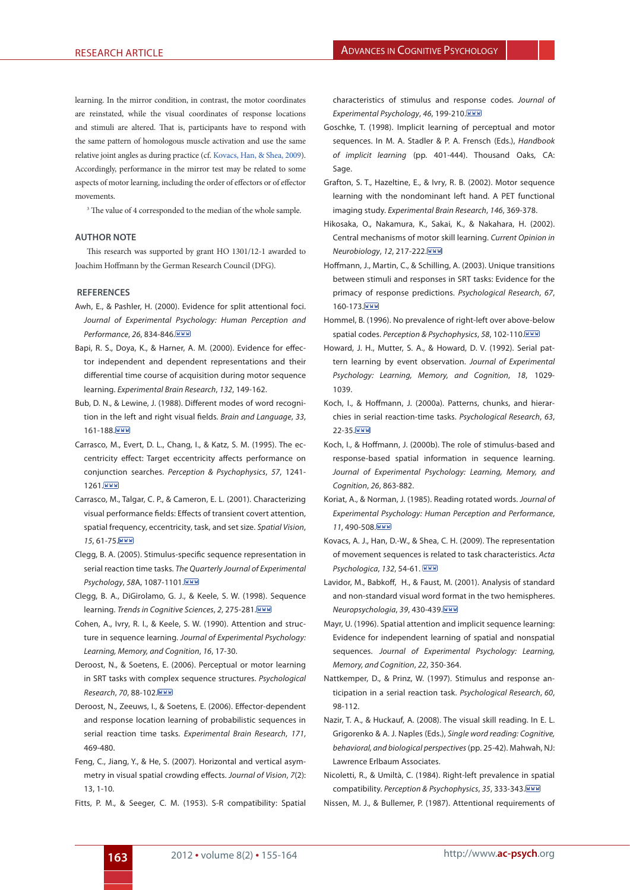learning. In the mirror condition, in contrast, the motor coordinates are reinstated, while the visual coordinates of response locations and stimuli are altered. That is, participants have to respond with the same pattern of homologous muscle activation and use the same relative joint angles as during practice (cf. [Kovacs, Han, & Shea, 2009\)](#page-8-27). Accordingly, performance in the mirror test may be related to some aspects of motor learning, including the order of effectors or of effector movements.

<sup>3</sup> The value of 4 corresponded to the median of the whole sample.

### **Author Note**

This research was supported by grant HO 1301/12-1 awarded to Joachim Hoffmann by the German Research Council (DFG).

#### **References**

- <span id="page-8-15"></span>A[wh, E., & Pashler, H. \(2000\).](#page-1-0) Evidence for split attentional foci. *Journal of Experimental Psychology: Human Perception and Performance*, *26*, 834-846.
- <span id="page-8-18"></span>[Bapi, R. S., Doya, K., & Harner, A. M. \(2000\).](#page-1-1) Evidence for effector independent and dependent representations and their differential time course of acquisition during motor sequence learning. *Experimental Brain Research*, *132*, 149-162.
- <span id="page-8-10"></span>[Bub, D. N., & Lewine, J. \(1988\)](#page-0-0). Different modes of word recognition in the left and right visual fields. *Brain and Language*, *33*, 161-188 WWW
- <span id="page-8-16"></span>C[arrasco, M., Evert, D. L., Chang, I., & Katz, S. M. \(1995\).](#page-1-2) The eccentricity effect: Target eccentricity affects performance on conjunction searches. *Perception & Psychophysics*, *57*, 1241- 1261. WWW
- <span id="page-8-17"></span>C[arrasco, M., Talgar, C. P., & Cameron, E. L. \(2001\).](#page-1-3) Characterizing visual performance fields: Effects of transient covert attention, spatial frequency, eccentricity, task, and set size. *Spatial Vision*, *15*, 61-75.
- <span id="page-8-1"></span>C[legg, B. A. \(2005\).](#page-0-1) Stimulus-specific sequence representation in serial reaction time tasks. *The Quarterly Journal of Experimental Psychology*, *58*A, 1087-1101.
- <span id="page-8-19"></span>C[legg, B. A., DiGirolamo, G. J., & Keele, S. W. \(1998\).](#page-1-4) Sequence learning. *Trends in Cognitive Sciences*, *2*, 275-281.
- <span id="page-8-2"></span>[Cohen, A., Ivry, R. I., & Keele, S. W. \(1990\)](#page-0-2). Attention and structure in sequence learning. *Journal of Experimental Psychology: Learning, Memory, and Cognition*, *16*, 17-30.
- <span id="page-8-7"></span>[Deroost, N., & Soetens, E. \(2006\)](#page-0-3). Perceptual or motor learning in SRT tasks with complex sequence structures. *Psychological Research*, *70*, 88-102.
- <span id="page-8-20"></span>[Deroost, N., Zeeuws, I., & Soetens, E. \(2006\)](#page-1-5). Effector-dependent and response location learning of probabilistic sequences in serial reaction time tasks. *Experimental Brain Research*, *171*, 469-480.
- <span id="page-8-14"></span>F[eng, C., Jiang, Y., & He, S. \(2007\).](#page-1-6) Horizontal and vertical asymmetry in visual spatial crowding effects. *Journal of Vision*, *7*(2): 13, 1-10.
- <span id="page-8-24"></span>F[itts, P. M., & Seeger, C. M. \(1953\).](#page-7-0) S-R compatibility: Spatial

characteristics of stimulus and response codes. *Journal of Experimental Psychology*, *46*, 199-210.

- <span id="page-8-28"></span><span id="page-8-21"></span>[Goschke, T. \(1998\)](#page-1-7). Implicit learning of perceptual and motor sequences. In M. A. Stadler & P. A. Frensch (Eds.), *Handbook of implicit learning* (pp. 401-444). Thousand Oaks, CA: Sage.
- <span id="page-8-23"></span>[Grafton, S. T., Hazeltine, E., & Ivry, R. B. \(2002\).](#page-1-8) Motor sequence learning with the nondominant left hand. A PET functional imaging study. *Experimental Brain Research*, *146*, 369-378.
- <span id="page-8-22"></span>H[ikosaka, O., Nakamura, K., Sakai, K., & Nakahara, H. \(2002\).](#page-1-9) Central mechanisms of motor skill learning. *Current Opinion in Neurobiology*, *12*, 217-222.
- <span id="page-8-4"></span>[Hoffmann, J., Martin, C., & Schilling, A. \(2003\)](#page-0-4). Unique transitions between stimuli and responses in SRT tasks: Evidence for the primacy of response predictions. *Psychological Research*, *67*, 160-173. WWW
- <span id="page-8-26"></span>[Hommel, B. \(1996\)](#page-7-1). No prevalence of right-left over above-below spatial codes. *Perception & Psychophysics*, *58*, 102-110.
- <span id="page-8-3"></span>[Howard, J. H., Mutter, S. A., & Howard, D. V. \(1992\)](#page-0-5). Serial pattern learning by event observation. *Journal of Experimental Psychology: Learning, Memory, and Cognition*, *18*, 1029- 1039.
- <span id="page-8-5"></span>K[och, I., & Hoffmann, J. \(2000a\)](#page-0-6). Patterns, chunks, and hierarchies in serial reaction-time tasks. *Psychological Research*, *63*, 22-35. WWW
- <span id="page-8-8"></span>K[och, I., & Hoffmann, J. \(2000b\).](#page-0-7) The role of stimulus-based and response-based spatial information in sequence learning. *Journal of Experimental Psychology: Learning, Memory, and Cognition*, *26*, 863-882.
- <span id="page-8-11"></span>K[oriat, A., & Norman, J. \(1985\).](#page-0-8) Reading rotated words. *Journal of Experimental Psychology: Human Perception and Performance*, *11*, 490-508.
- <span id="page-8-27"></span>K[ovacs, A. J., Han, D.-W., & Shea, C. H. \(2009\)](#page-8-28). The representation of movement sequences is related to task characteristics. *Acta Psychologica*, *132*, 54-61.
- <span id="page-8-12"></span>L[avidor, M., Babkoff, H., & Faust, M. \(2001\)](#page-0-9). Analysis of standard and non-standard visual word format in the two hemispheres. *Neuropsychologia*, *39*, 430-439.
- <span id="page-8-9"></span>M[ayr, U. \(1996\)](#page-0-10). Spatial attention and implicit sequence learning: Evidence for independent learning of spatial and nonspatial sequences. *Journal of Experimental Psychology: Learning, Memory, and Cognition*, *22*, 350-364.
- <span id="page-8-6"></span>[Nattkemper, D., & Prinz, W. \(1997\).](#page-0-11) Stimulus and response anticipation in a serial reaction task. *Psychological Research*, *60*, 98-112.
- <span id="page-8-13"></span>[Nazir, T. A., & Huckauf, A. \(2008\)](#page-0-12). The visual skill reading. In E. L. Grigorenko & A. J. Naples (Eds.), *Single word reading: Cognitive, behavioral, and biological perspectives* (pp. 25-42). Mahwah, NJ: Lawrence Erlbaum Associates.
- <span id="page-8-25"></span>N[icoletti, R., & Umiltà, C. \(1984\)](#page-7-2). Right-left prevalence in spatial compatibility. *Perception & Psychophysics*, *35*, 333-343.

<span id="page-8-0"></span>N[issen, M. J., & Bullemer, P. \(1987\).](#page-0-13) Attentional requirements of